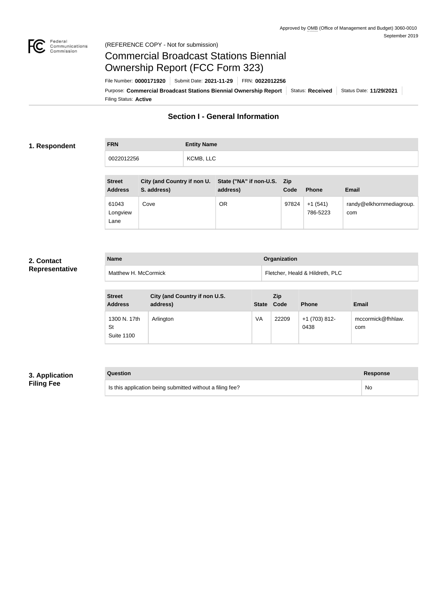

#### Federal<br>Communications<br>Commission (REFERENCE COPY - Not for submission)

# Commercial Broadcast Stations Biennial Ownership Report (FCC Form 323)

Filing Status: **Active** Purpose: Commercial Broadcast Stations Biennial Ownership Report Status: Received Status Date: 11/29/2021 File Number: **0000171920** Submit Date: **2021-11-29** FRN: **0022012256**

## **Section I - General Information**

#### **1. Respondent**

# **FRN Entity Name** 0022012256 | KCMB, LLC

| <b>Street</b><br><b>Address</b> | City (and Country if non U.<br>S. address) | State ("NA" if non-U.S. Zip<br>address) | Code  | <b>Phone</b>          | <b>Email</b>                    |
|---------------------------------|--------------------------------------------|-----------------------------------------|-------|-----------------------|---------------------------------|
| 61043<br>Longview<br>Lane       | Cove                                       | <b>OR</b>                               | 97824 | $+1(541)$<br>786-5223 | randy@elkhornmediagroup.<br>com |

#### **2. Contact Representative**

| <b>Name</b>          | Organization                    |
|----------------------|---------------------------------|
| Matthew H. McCormick | Fletcher, Heald & Hildreth, PLC |

| <b>Street</b><br><b>Address</b>         | City (and Country if non U.S.<br>address) | <b>State</b> | <b>Zip</b><br>Code | <b>Phone</b>          | <b>Email</b>             |
|-----------------------------------------|-------------------------------------------|--------------|--------------------|-----------------------|--------------------------|
| 1300 N. 17th<br>St<br><b>Suite 1100</b> | Arlington                                 | VA           | 22209              | +1 (703) 812-<br>0438 | mccormick@fhhlaw.<br>com |

#### **3. Application Filing Fee**

| Question                                                  | Response |
|-----------------------------------------------------------|----------|
| Is this application being submitted without a filing fee? | No       |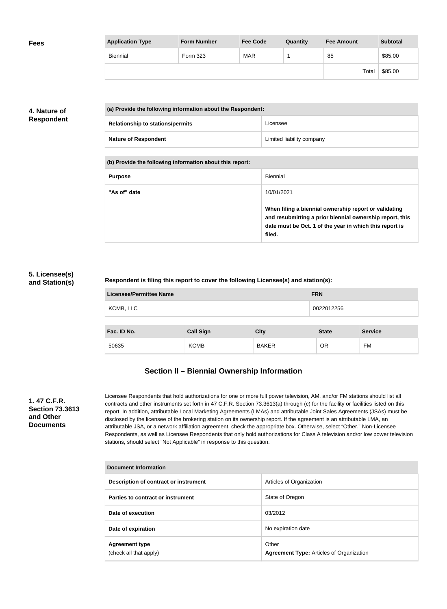| <b>Fees</b> | <b>Application Type</b> | <b>Form Number</b> | <b>Fee Code</b> | Quantity | <b>Fee Amount</b> | <b>Subtotal</b> |
|-------------|-------------------------|--------------------|-----------------|----------|-------------------|-----------------|
|             | Biennial                | Form 323           | <b>MAR</b>      |          | 85                | \$85.00         |
|             |                         |                    |                 |          | Total             | \$85.00         |

#### **4. Nature of Respondent**

| (a) Provide the following information about the Respondent: |                           |
|-------------------------------------------------------------|---------------------------|
| <b>Relationship to stations/permits</b>                     | Licensee                  |
| <b>Nature of Respondent</b>                                 | Limited liability company |

**(b) Provide the following information about this report:**

| <b>Purpose</b> | Biennial                                                                                                                                                                               |
|----------------|----------------------------------------------------------------------------------------------------------------------------------------------------------------------------------------|
| "As of" date   | 10/01/2021                                                                                                                                                                             |
|                | When filing a biennial ownership report or validating<br>and resubmitting a prior biennial ownership report, this<br>date must be Oct. 1 of the year in which this report is<br>filed. |

#### **5. Licensee(s) and Station(s)**

#### **Respondent is filing this report to cover the following Licensee(s) and station(s):**

| <b>Licensee/Permittee Name</b> |                  |              | <b>FRN</b>   |                |
|--------------------------------|------------------|--------------|--------------|----------------|
| KCMB, LLC                      |                  |              | 0022012256   |                |
| Fac. ID No.                    | <b>Call Sign</b> | <b>City</b>  | <b>State</b> | <b>Service</b> |
| 50635                          | <b>KCMB</b>      | <b>BAKER</b> | OR           | <b>FM</b>      |

# **Section II – Biennial Ownership Information**

#### **1. 47 C.F.R. Section 73.3613 and Other Documents**

Licensee Respondents that hold authorizations for one or more full power television, AM, and/or FM stations should list all contracts and other instruments set forth in 47 C.F.R. Section 73.3613(a) through (c) for the facility or facilities listed on this report. In addition, attributable Local Marketing Agreements (LMAs) and attributable Joint Sales Agreements (JSAs) must be disclosed by the licensee of the brokering station on its ownership report. If the agreement is an attributable LMA, an attributable JSA, or a network affiliation agreement, check the appropriate box. Otherwise, select "Other." Non-Licensee Respondents, as well as Licensee Respondents that only hold authorizations for Class A television and/or low power television stations, should select "Not Applicable" in response to this question.

| <b>Document Information</b>                     |                                                          |
|-------------------------------------------------|----------------------------------------------------------|
| Description of contract or instrument           | Articles of Organization                                 |
| Parties to contract or instrument               | State of Oregon                                          |
| Date of execution                               | 03/2012                                                  |
| Date of expiration                              | No expiration date                                       |
| <b>Agreement type</b><br>(check all that apply) | Other<br><b>Agreement Type: Articles of Organization</b> |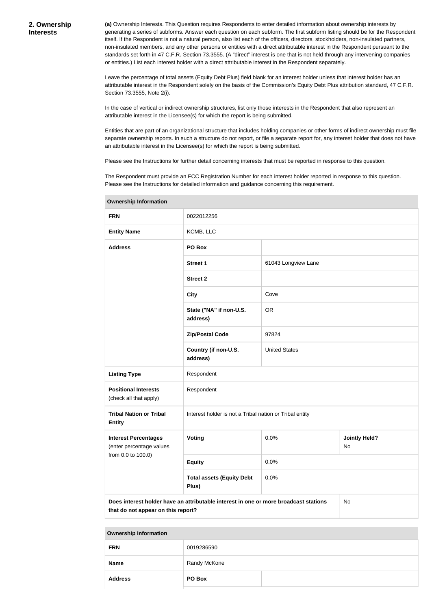**(a)** Ownership Interests. This Question requires Respondents to enter detailed information about ownership interests by generating a series of subforms. Answer each question on each subform. The first subform listing should be for the Respondent itself. If the Respondent is not a natural person, also list each of the officers, directors, stockholders, non-insulated partners, non-insulated members, and any other persons or entities with a direct attributable interest in the Respondent pursuant to the standards set forth in 47 C.F.R. Section 73.3555. (A "direct" interest is one that is not held through any intervening companies or entities.) List each interest holder with a direct attributable interest in the Respondent separately.

Leave the percentage of total assets (Equity Debt Plus) field blank for an interest holder unless that interest holder has an attributable interest in the Respondent solely on the basis of the Commission's Equity Debt Plus attribution standard, 47 C.F.R. Section 73.3555, Note 2(i).

In the case of vertical or indirect ownership structures, list only those interests in the Respondent that also represent an attributable interest in the Licensee(s) for which the report is being submitted.

Entities that are part of an organizational structure that includes holding companies or other forms of indirect ownership must file separate ownership reports. In such a structure do not report, or file a separate report for, any interest holder that does not have an attributable interest in the Licensee(s) for which the report is being submitted.

Please see the Instructions for further detail concerning interests that must be reported in response to this question.

The Respondent must provide an FCC Registration Number for each interest holder reported in response to this question. Please see the Instructions for detailed information and guidance concerning this requirement.

| <b>FRN</b>                                              | 0022012256                                                                           |                      |                            |
|---------------------------------------------------------|--------------------------------------------------------------------------------------|----------------------|----------------------------|
| <b>Entity Name</b>                                      | KCMB, LLC                                                                            |                      |                            |
| <b>Address</b>                                          | PO Box                                                                               |                      |                            |
|                                                         | Street 1                                                                             | 61043 Longview Lane  |                            |
|                                                         | <b>Street 2</b>                                                                      |                      |                            |
|                                                         | <b>City</b>                                                                          | Cove                 |                            |
|                                                         | State ("NA" if non-U.S.<br>address)                                                  | <b>OR</b>            |                            |
|                                                         | <b>Zip/Postal Code</b>                                                               | 97824                |                            |
|                                                         | Country (if non-U.S.<br>address)                                                     | <b>United States</b> |                            |
| <b>Listing Type</b>                                     | Respondent                                                                           |                      |                            |
| <b>Positional Interests</b><br>(check all that apply)   | Respondent                                                                           |                      |                            |
| <b>Tribal Nation or Tribal</b><br><b>Entity</b>         | Interest holder is not a Tribal nation or Tribal entity                              |                      |                            |
| <b>Interest Percentages</b><br>(enter percentage values | <b>Voting</b>                                                                        | 0.0%                 | <b>Jointly Held?</b><br>No |
| from 0.0 to 100.0)                                      | <b>Equity</b>                                                                        | 0.0%                 |                            |
|                                                         | <b>Total assets (Equity Debt</b><br>Plus)                                            | 0.0%                 |                            |
| that do not appear on this report?                      | Does interest holder have an attributable interest in one or more broadcast stations |                      | No                         |

**Ownership Information**

|  | <b>Ownership Information</b> |
|--|------------------------------|
|--|------------------------------|

| <b>FRN</b>     | 0019286590   |  |
|----------------|--------------|--|
| <b>Name</b>    | Randy McKone |  |
| <b>Address</b> | PO Box       |  |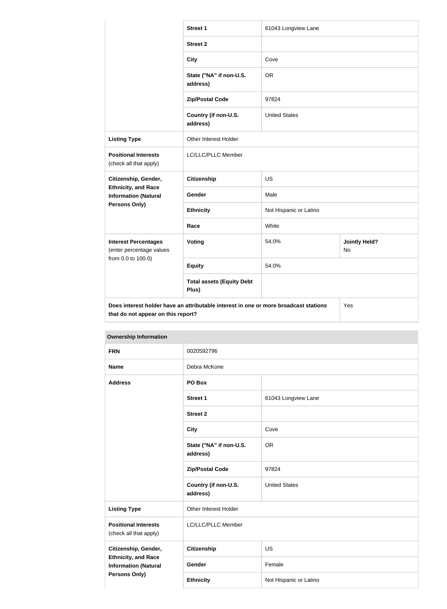|                                                                               | <b>Street 1</b>                                                                      | 61043 Longview Lane    |                            |
|-------------------------------------------------------------------------------|--------------------------------------------------------------------------------------|------------------------|----------------------------|
|                                                                               | <b>Street 2</b>                                                                      |                        |                            |
|                                                                               | <b>City</b>                                                                          | Cove                   |                            |
|                                                                               | State ("NA" if non-U.S.<br>address)                                                  | <b>OR</b>              |                            |
|                                                                               | <b>Zip/Postal Code</b>                                                               | 97824                  |                            |
|                                                                               | Country (if non-U.S.<br>address)                                                     | <b>United States</b>   |                            |
| <b>Listing Type</b>                                                           | <b>Other Interest Holder</b>                                                         |                        |                            |
| <b>Positional Interests</b><br>(check all that apply)                         | LC/LLC/PLLC Member                                                                   |                        |                            |
| Citizenship, Gender,                                                          | <b>Citizenship</b>                                                                   | <b>US</b>              |                            |
| <b>Ethnicity, and Race</b><br><b>Information (Natural</b>                     | Gender                                                                               | Male                   |                            |
| Persons Only)                                                                 | <b>Ethnicity</b>                                                                     | Not Hispanic or Latino |                            |
|                                                                               | Race                                                                                 | White                  |                            |
| <b>Interest Percentages</b><br>(enter percentage values<br>from 0.0 to 100.0) | Voting                                                                               | 54.0%                  | <b>Jointly Held?</b><br>No |
|                                                                               | <b>Equity</b>                                                                        | 54.0%                  |                            |
|                                                                               | <b>Total assets (Equity Debt</b><br>Plus)                                            |                        |                            |
| that do not appear on this report?                                            | Does interest holder have an attributable interest in one or more broadcast stations |                        | Yes                        |

| Ownership information                                     |                                     |                        |  |
|-----------------------------------------------------------|-------------------------------------|------------------------|--|
| <b>FRN</b>                                                | 0020592796                          |                        |  |
| <b>Name</b>                                               | Debra McKone                        |                        |  |
| <b>Address</b>                                            | PO Box                              |                        |  |
|                                                           | <b>Street 1</b>                     | 61043 Longview Lane    |  |
|                                                           | <b>Street 2</b>                     |                        |  |
|                                                           | <b>City</b>                         | Cove                   |  |
|                                                           | State ("NA" if non-U.S.<br>address) | <b>OR</b>              |  |
|                                                           | <b>Zip/Postal Code</b>              | 97824                  |  |
|                                                           | Country (if non-U.S.<br>address)    | <b>United States</b>   |  |
| <b>Listing Type</b>                                       | Other Interest Holder               |                        |  |
| <b>Positional Interests</b><br>(check all that apply)     | LC/LLC/PLLC Member                  |                        |  |
| Citizenship, Gender,                                      | <b>Citizenship</b>                  | <b>US</b>              |  |
| <b>Ethnicity, and Race</b><br><b>Information (Natural</b> | Gender                              | Female                 |  |
| <b>Persons Only)</b>                                      | <b>Ethnicity</b>                    | Not Hispanic or Latino |  |

### **Ownership Information**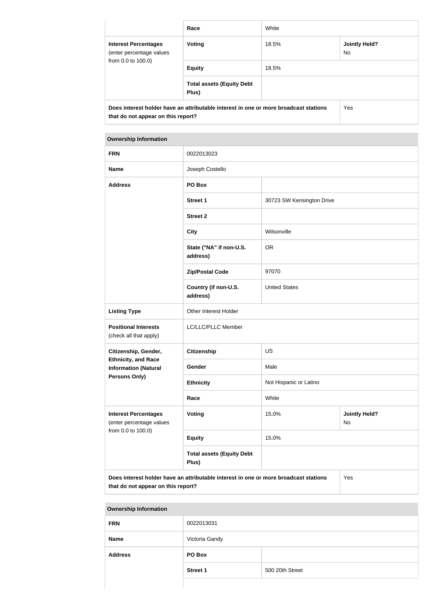|                                                                                                                            | Race                                      | White |                             |
|----------------------------------------------------------------------------------------------------------------------------|-------------------------------------------|-------|-----------------------------|
| <b>Interest Percentages</b><br>(enter percentage values<br>from 0.0 to 100.0)                                              | Voting                                    | 18.5% | <b>Jointly Held?</b><br>No. |
|                                                                                                                            | <b>Equity</b>                             | 18.5% |                             |
|                                                                                                                            | <b>Total assets (Equity Debt</b><br>Plus) |       |                             |
| Does interest holder have an attributable interest in one or more broadcast stations<br>that do not appear on this report? |                                           | Yes   |                             |

| <b>Ownership Information</b>                              |                                                                                                                                   |                           |                            |
|-----------------------------------------------------------|-----------------------------------------------------------------------------------------------------------------------------------|---------------------------|----------------------------|
| <b>FRN</b>                                                | 0022013023                                                                                                                        |                           |                            |
| <b>Name</b>                                               | Joseph Costello                                                                                                                   |                           |                            |
| <b>Address</b>                                            | PO Box                                                                                                                            |                           |                            |
|                                                           | <b>Street 1</b>                                                                                                                   | 30723 SW Kensington Drive |                            |
|                                                           | <b>Street 2</b>                                                                                                                   |                           |                            |
|                                                           | <b>City</b>                                                                                                                       | Wilsonville               |                            |
|                                                           | State ("NA" if non-U.S.<br>address)                                                                                               | <b>OR</b>                 |                            |
|                                                           | <b>Zip/Postal Code</b>                                                                                                            | 97070                     |                            |
|                                                           | Country (if non-U.S.<br>address)                                                                                                  | <b>United States</b>      |                            |
| <b>Listing Type</b>                                       | Other Interest Holder                                                                                                             |                           |                            |
| <b>Positional Interests</b><br>(check all that apply)     | LC/LLC/PLLC Member                                                                                                                |                           |                            |
| Citizenship, Gender,                                      | <b>Citizenship</b>                                                                                                                | <b>US</b>                 |                            |
| <b>Ethnicity, and Race</b><br><b>Information (Natural</b> | Gender                                                                                                                            | Male                      |                            |
| Persons Only)                                             | <b>Ethnicity</b>                                                                                                                  | Not Hispanic or Latino    |                            |
|                                                           | Race                                                                                                                              | White                     |                            |
| <b>Interest Percentages</b><br>(enter percentage values   | <b>Voting</b>                                                                                                                     | 15.0%                     | <b>Jointly Held?</b><br>No |
| from 0.0 to 100.0)                                        | <b>Equity</b>                                                                                                                     | 15.0%                     |                            |
|                                                           | <b>Total assets (Equity Debt</b><br>Plus)                                                                                         |                           |                            |
|                                                           | Does interest holder have an attributable interest in one or more broadcast stations<br>Yes<br>that do not appear on this report? |                           |                            |

#### **Ownership Information**

| <b>FRN</b>     | 0022013031      |                 |
|----------------|-----------------|-----------------|
| <b>Name</b>    | Victoria Gandy  |                 |
| <b>Address</b> | PO Box          |                 |
|                | <b>Street 1</b> | 500 20th Street |
|                |                 |                 |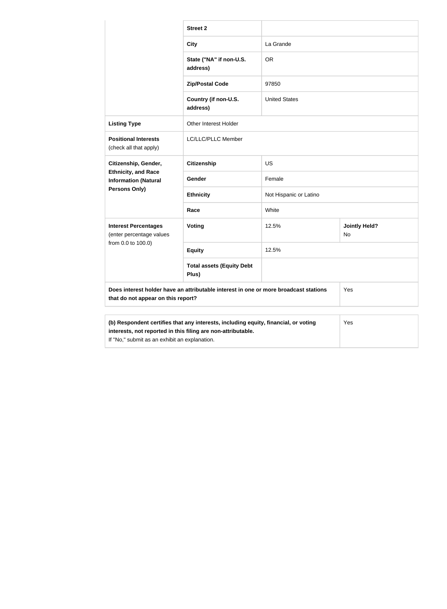|                                                                                                                            | <b>Street 2</b>                                                                     |                        |                            |
|----------------------------------------------------------------------------------------------------------------------------|-------------------------------------------------------------------------------------|------------------------|----------------------------|
|                                                                                                                            | <b>City</b>                                                                         | La Grande              |                            |
|                                                                                                                            | State ("NA" if non-U.S.<br>address)                                                 | <b>OR</b>              |                            |
|                                                                                                                            | <b>Zip/Postal Code</b>                                                              | 97850                  |                            |
|                                                                                                                            | Country (if non-U.S.<br>address)                                                    | <b>United States</b>   |                            |
| <b>Listing Type</b>                                                                                                        | Other Interest Holder                                                               |                        |                            |
| <b>Positional Interests</b><br>(check all that apply)                                                                      | LC/LLC/PLLC Member                                                                  |                        |                            |
| Citizenship, Gender,                                                                                                       | <b>Citizenship</b>                                                                  | US                     |                            |
| <b>Ethnicity, and Race</b><br><b>Information (Natural</b>                                                                  | <b>Gender</b>                                                                       | Female                 |                            |
| Persons Only)                                                                                                              | <b>Ethnicity</b>                                                                    | Not Hispanic or Latino |                            |
|                                                                                                                            | Race                                                                                | White                  |                            |
| <b>Interest Percentages</b><br>(enter percentage values                                                                    | Voting                                                                              | 12.5%                  | <b>Jointly Held?</b><br>No |
| from 0.0 to 100.0)                                                                                                         | <b>Equity</b>                                                                       | 12.5%                  |                            |
|                                                                                                                            | <b>Total assets (Equity Debt</b><br>Plus)                                           |                        |                            |
| Does interest holder have an attributable interest in one or more broadcast stations<br>that do not appear on this report? |                                                                                     |                        | Yes                        |
|                                                                                                                            |                                                                                     |                        |                            |
| interests, not reported in this filing are non-attributable.<br>If "No," submit as an exhibit an explanation.              | (b) Respondent certifies that any interests, including equity, financial, or voting |                        | Yes                        |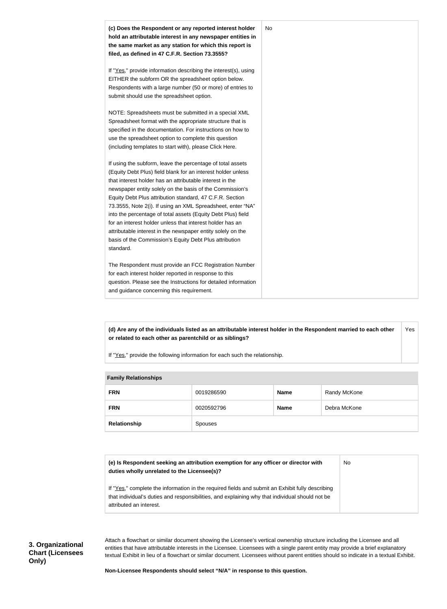

**(d) Are any of the individuals listed as an attributable interest holder in the Respondent married to each other or related to each other as parentchild or as siblings?** Yes

If "Yes," provide the following information for each such the relationship.

| <b>Family Relationships</b> |                |             |              |
|-----------------------------|----------------|-------------|--------------|
| <b>FRN</b>                  | 0019286590     | <b>Name</b> | Randy McKone |
| <b>FRN</b>                  | 0020592796     | <b>Name</b> | Debra McKone |
| Relationship                | <b>Spouses</b> |             |              |

| <b>Family Relationshins</b> |  |
|-----------------------------|--|

| (e) Is Respondent seeking an attribution exemption for any officer or director with<br>duties wholly unrelated to the Licensee(s)? | No |
|------------------------------------------------------------------------------------------------------------------------------------|----|
| If "Yes," complete the information in the required fields and submit an Exhibit fully describing                                   |    |
| that individual's duties and responsibilities, and explaining why that individual should not be                                    |    |
| attributed an interest.                                                                                                            |    |

Attach a flowchart or similar document showing the Licensee's vertical ownership structure including the Licensee and all entities that have attributable interests in the Licensee. Licensees with a single parent entity may provide a brief explanatory textual Exhibit in lieu of a flowchart or similar document. Licensees without parent entities should so indicate in a textual Exhibit.

**Non-Licensee Respondents should select "N/A" in response to this question.**